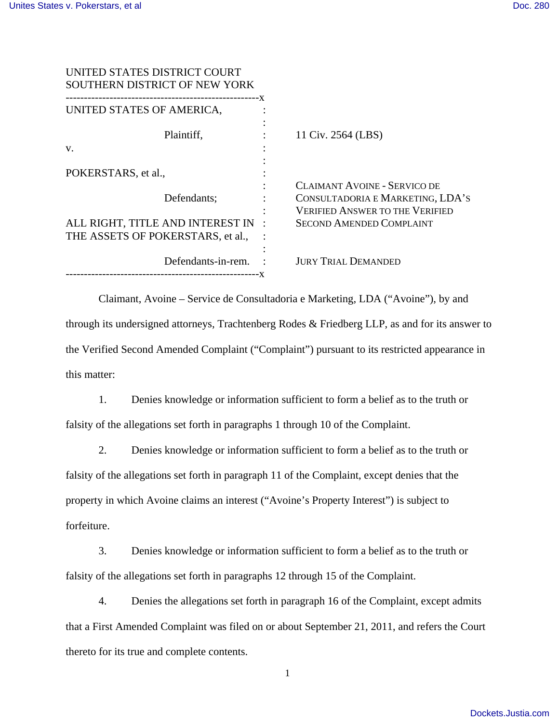| UNITED STATES DISTRICT COURT<br>SOUTHERN DISTRICT OF NEW YORK |                                                                                                                   |
|---------------------------------------------------------------|-------------------------------------------------------------------------------------------------------------------|
| UNITED STATES OF AMERICA,                                     |                                                                                                                   |
| Plaintiff.                                                    | 11 Civ. 2564 (LBS)                                                                                                |
| V.                                                            |                                                                                                                   |
| POKERSTARS, et al.,                                           |                                                                                                                   |
| Defendants;                                                   | <b>CLAIMANT AVOINE - SERVICO DE</b><br>CONSULTADORIA E MARKETING, LDA'S<br><b>VERIFIED ANSWER TO THE VERIFIED</b> |
| ALL RIGHT, TITLE AND INTEREST IN :                            | <b>SECOND AMENDED COMPLAINT</b>                                                                                   |
| THE ASSETS OF POKERSTARS, et al.,                             |                                                                                                                   |
| Defendants-in-rem.                                            | <b>JURY TRIAL DEMANDED</b>                                                                                        |
|                                                               |                                                                                                                   |

 Claimant, Avoine – Service de Consultadoria e Marketing, LDA ("Avoine"), by and through its undersigned attorneys, Trachtenberg Rodes & Friedberg LLP, as and for its answer to the Verified Second Amended Complaint ("Complaint") pursuant to its restricted appearance in this matter:

1. Denies knowledge or information sufficient to form a belief as to the truth or falsity of the allegations set forth in paragraphs 1 through 10 of the Complaint.

2. Denies knowledge or information sufficient to form a belief as to the truth or falsity of the allegations set forth in paragraph 11 of the Complaint, except denies that the property in which Avoine claims an interest ("Avoine's Property Interest") is subject to forfeiture.

3. Denies knowledge or information sufficient to form a belief as to the truth or falsity of the allegations set forth in paragraphs 12 through 15 of the Complaint.

4. Denies the allegations set forth in paragraph 16 of the Complaint, except admits that a First Amended Complaint was filed on or about September 21, 2011, and refers the Court thereto for its true and complete contents.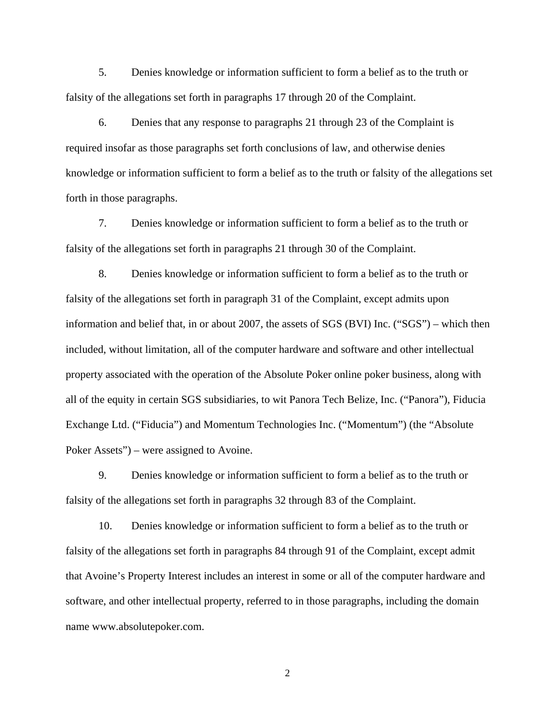5. Denies knowledge or information sufficient to form a belief as to the truth or falsity of the allegations set forth in paragraphs 17 through 20 of the Complaint.

6. Denies that any response to paragraphs 21 through 23 of the Complaint is required insofar as those paragraphs set forth conclusions of law, and otherwise denies knowledge or information sufficient to form a belief as to the truth or falsity of the allegations set forth in those paragraphs.

7. Denies knowledge or information sufficient to form a belief as to the truth or falsity of the allegations set forth in paragraphs 21 through 30 of the Complaint.

8. Denies knowledge or information sufficient to form a belief as to the truth or falsity of the allegations set forth in paragraph 31 of the Complaint, except admits upon information and belief that, in or about 2007, the assets of SGS (BVI) Inc. ("SGS") – which then included, without limitation, all of the computer hardware and software and other intellectual property associated with the operation of the Absolute Poker online poker business, along with all of the equity in certain SGS subsidiaries, to wit Panora Tech Belize, Inc. ("Panora"), Fiducia Exchange Ltd. ("Fiducia") and Momentum Technologies Inc. ("Momentum") (the "Absolute Poker Assets") – were assigned to Avoine.

9. Denies knowledge or information sufficient to form a belief as to the truth or falsity of the allegations set forth in paragraphs 32 through 83 of the Complaint.

10. Denies knowledge or information sufficient to form a belief as to the truth or falsity of the allegations set forth in paragraphs 84 through 91 of the Complaint, except admit that Avoine's Property Interest includes an interest in some or all of the computer hardware and software, and other intellectual property, referred to in those paragraphs, including the domain name www.absolutepoker.com.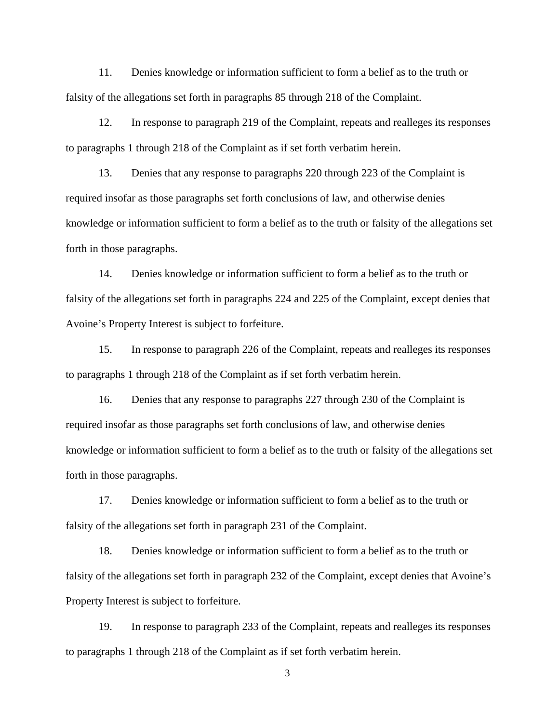11. Denies knowledge or information sufficient to form a belief as to the truth or falsity of the allegations set forth in paragraphs 85 through 218 of the Complaint.

12. In response to paragraph 219 of the Complaint, repeats and realleges its responses to paragraphs 1 through 218 of the Complaint as if set forth verbatim herein.

13. Denies that any response to paragraphs 220 through 223 of the Complaint is required insofar as those paragraphs set forth conclusions of law, and otherwise denies knowledge or information sufficient to form a belief as to the truth or falsity of the allegations set forth in those paragraphs.

14. Denies knowledge or information sufficient to form a belief as to the truth or falsity of the allegations set forth in paragraphs 224 and 225 of the Complaint, except denies that Avoine's Property Interest is subject to forfeiture.

15. In response to paragraph 226 of the Complaint, repeats and realleges its responses to paragraphs 1 through 218 of the Complaint as if set forth verbatim herein.

16. Denies that any response to paragraphs 227 through 230 of the Complaint is required insofar as those paragraphs set forth conclusions of law, and otherwise denies knowledge or information sufficient to form a belief as to the truth or falsity of the allegations set forth in those paragraphs.

17. Denies knowledge or information sufficient to form a belief as to the truth or falsity of the allegations set forth in paragraph 231 of the Complaint.

18. Denies knowledge or information sufficient to form a belief as to the truth or falsity of the allegations set forth in paragraph 232 of the Complaint, except denies that Avoine's Property Interest is subject to forfeiture.

19. In response to paragraph 233 of the Complaint, repeats and realleges its responses to paragraphs 1 through 218 of the Complaint as if set forth verbatim herein.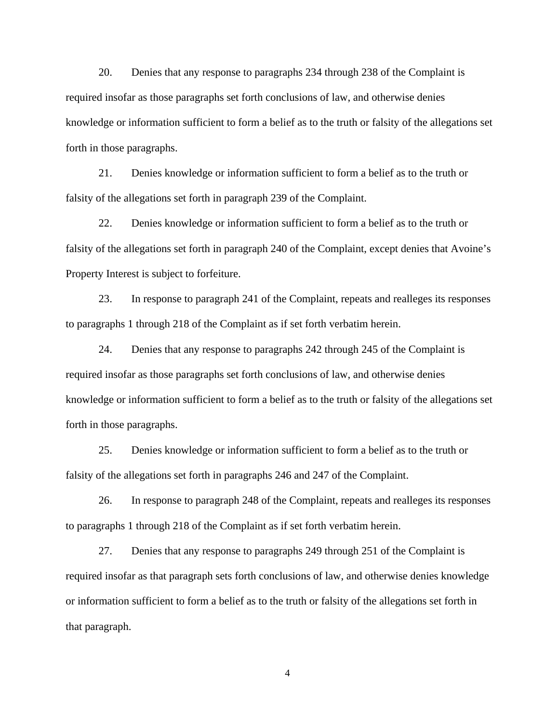20. Denies that any response to paragraphs 234 through 238 of the Complaint is required insofar as those paragraphs set forth conclusions of law, and otherwise denies knowledge or information sufficient to form a belief as to the truth or falsity of the allegations set forth in those paragraphs.

21. Denies knowledge or information sufficient to form a belief as to the truth or falsity of the allegations set forth in paragraph 239 of the Complaint.

22. Denies knowledge or information sufficient to form a belief as to the truth or falsity of the allegations set forth in paragraph 240 of the Complaint, except denies that Avoine's Property Interest is subject to forfeiture.

23. In response to paragraph 241 of the Complaint, repeats and realleges its responses to paragraphs 1 through 218 of the Complaint as if set forth verbatim herein.

24. Denies that any response to paragraphs 242 through 245 of the Complaint is required insofar as those paragraphs set forth conclusions of law, and otherwise denies knowledge or information sufficient to form a belief as to the truth or falsity of the allegations set forth in those paragraphs.

25. Denies knowledge or information sufficient to form a belief as to the truth or falsity of the allegations set forth in paragraphs 246 and 247 of the Complaint.

26. In response to paragraph 248 of the Complaint, repeats and realleges its responses to paragraphs 1 through 218 of the Complaint as if set forth verbatim herein.

27. Denies that any response to paragraphs 249 through 251 of the Complaint is required insofar as that paragraph sets forth conclusions of law, and otherwise denies knowledge or information sufficient to form a belief as to the truth or falsity of the allegations set forth in that paragraph.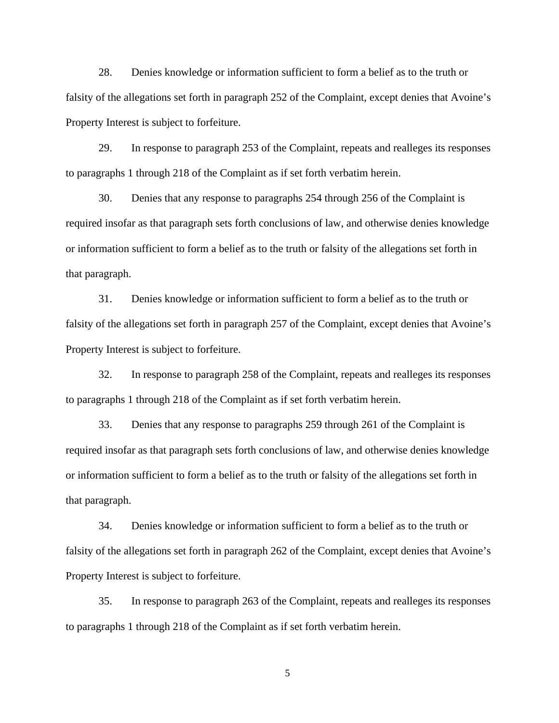28. Denies knowledge or information sufficient to form a belief as to the truth or falsity of the allegations set forth in paragraph 252 of the Complaint, except denies that Avoine's Property Interest is subject to forfeiture.

29. In response to paragraph 253 of the Complaint, repeats and realleges its responses to paragraphs 1 through 218 of the Complaint as if set forth verbatim herein.

30. Denies that any response to paragraphs 254 through 256 of the Complaint is required insofar as that paragraph sets forth conclusions of law, and otherwise denies knowledge or information sufficient to form a belief as to the truth or falsity of the allegations set forth in that paragraph.

31. Denies knowledge or information sufficient to form a belief as to the truth or falsity of the allegations set forth in paragraph 257 of the Complaint, except denies that Avoine's Property Interest is subject to forfeiture.

32. In response to paragraph 258 of the Complaint, repeats and realleges its responses to paragraphs 1 through 218 of the Complaint as if set forth verbatim herein.

33. Denies that any response to paragraphs 259 through 261 of the Complaint is required insofar as that paragraph sets forth conclusions of law, and otherwise denies knowledge or information sufficient to form a belief as to the truth or falsity of the allegations set forth in that paragraph.

34. Denies knowledge or information sufficient to form a belief as to the truth or falsity of the allegations set forth in paragraph 262 of the Complaint, except denies that Avoine's Property Interest is subject to forfeiture.

35. In response to paragraph 263 of the Complaint, repeats and realleges its responses to paragraphs 1 through 218 of the Complaint as if set forth verbatim herein.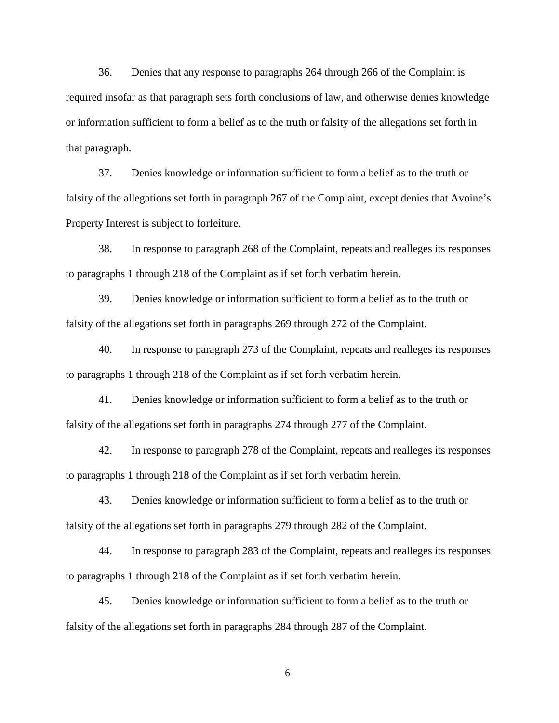36. Denies that any response to paragraphs 264 through 266 of the Complaint is required insofar as that paragraph sets forth conclusions of law, and otherwise denies knowledge or information sufficient to form a belief as to the truth or falsity of the allegations set forth in that paragraph.

37. Denies knowledge or information sufficient to form a belief as to the truth or falsity of the allegations set forth in paragraph 267 of the Complaint, except denies that Avoine's Property Interest is subject to forfeiture.

38. In response to paragraph 268 of the Complaint, repeats and realleges its responses to paragraphs 1 through 218 of the Complaint as if set forth verbatim herein.

39. Denies knowledge or information sufficient to form a belief as to the truth or falsity of the allegations set forth in paragraphs 269 through 272 of the Complaint.

40. In response to paragraph 273 of the Complaint, repeats and realleges its responses to paragraphs 1 through 218 of the Complaint as if set forth verbatim herein.

41. Denies knowledge or information sufficient to form a belief as to the truth or falsity of the allegations set forth in paragraphs 274 through 277 of the Complaint.

42. In response to paragraph 278 of the Complaint, repeats and realleges its responses to paragraphs 1 through 218 of the Complaint as if set forth verbatim herein.

43. Denies knowledge or information sufficient to form a belief as to the truth or falsity of the allegations set forth in paragraphs 279 through 282 of the Complaint.

44. In response to paragraph 283 of the Complaint, repeats and realleges its responses to paragraphs 1 through 218 of the Complaint as if set forth verbatim herein.

45. Denies knowledge or information sufficient to form a belief as to the truth or falsity of the allegations set forth in paragraphs 284 through 287 of the Complaint.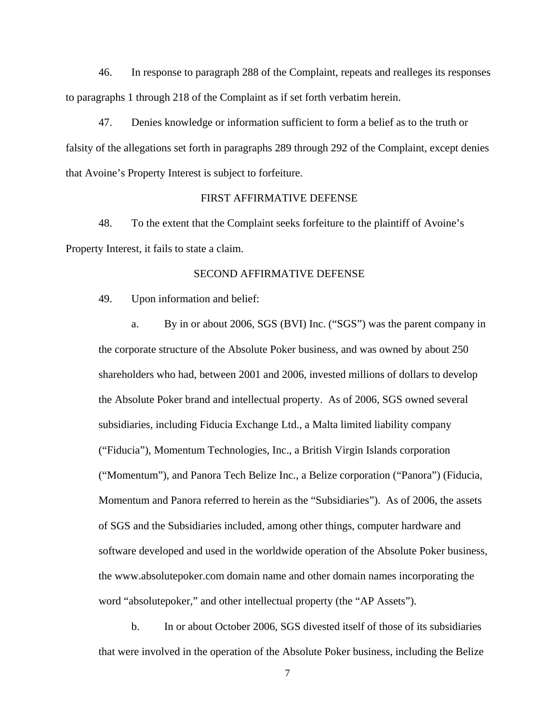46. In response to paragraph 288 of the Complaint, repeats and realleges its responses to paragraphs 1 through 218 of the Complaint as if set forth verbatim herein.

47. Denies knowledge or information sufficient to form a belief as to the truth or falsity of the allegations set forth in paragraphs 289 through 292 of the Complaint, except denies that Avoine's Property Interest is subject to forfeiture.

### FIRST AFFIRMATIVE DEFENSE

48. To the extent that the Complaint seeks forfeiture to the plaintiff of Avoine's Property Interest, it fails to state a claim.

#### SECOND AFFIRMATIVE DEFENSE

49. Upon information and belief:

 a. By in or about 2006, SGS (BVI) Inc. ("SGS") was the parent company in the corporate structure of the Absolute Poker business, and was owned by about 250 shareholders who had, between 2001 and 2006, invested millions of dollars to develop the Absolute Poker brand and intellectual property. As of 2006, SGS owned several subsidiaries, including Fiducia Exchange Ltd., a Malta limited liability company ("Fiducia"), Momentum Technologies, Inc., a British Virgin Islands corporation ("Momentum"), and Panora Tech Belize Inc., a Belize corporation ("Panora") (Fiducia, Momentum and Panora referred to herein as the "Subsidiaries"). As of 2006, the assets of SGS and the Subsidiaries included, among other things, computer hardware and software developed and used in the worldwide operation of the Absolute Poker business, the www.absolutepoker.com domain name and other domain names incorporating the word "absolutepoker," and other intellectual property (the "AP Assets").

 b. In or about October 2006, SGS divested itself of those of its subsidiaries that were involved in the operation of the Absolute Poker business, including the Belize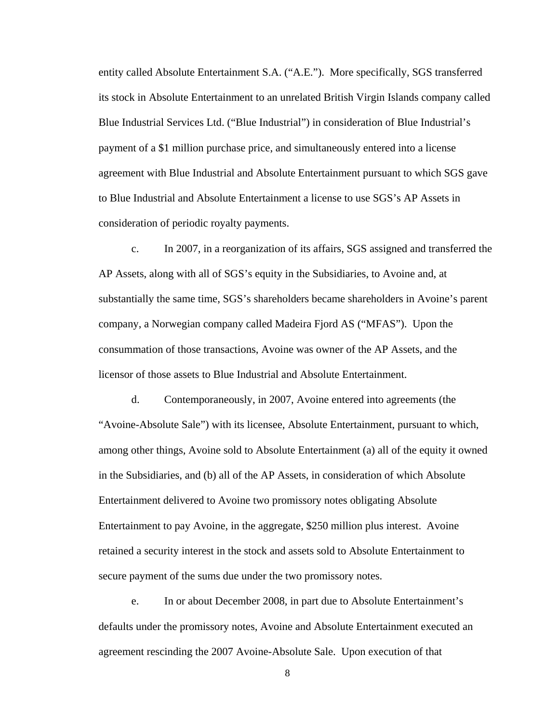entity called Absolute Entertainment S.A. ("A.E."). More specifically, SGS transferred its stock in Absolute Entertainment to an unrelated British Virgin Islands company called Blue Industrial Services Ltd. ("Blue Industrial") in consideration of Blue Industrial's payment of a \$1 million purchase price, and simultaneously entered into a license agreement with Blue Industrial and Absolute Entertainment pursuant to which SGS gave to Blue Industrial and Absolute Entertainment a license to use SGS's AP Assets in consideration of periodic royalty payments.

 c. In 2007, in a reorganization of its affairs, SGS assigned and transferred the AP Assets, along with all of SGS's equity in the Subsidiaries, to Avoine and, at substantially the same time, SGS's shareholders became shareholders in Avoine's parent company, a Norwegian company called Madeira Fjord AS ("MFAS"). Upon the consummation of those transactions, Avoine was owner of the AP Assets, and the licensor of those assets to Blue Industrial and Absolute Entertainment.

 d. Contemporaneously, in 2007, Avoine entered into agreements (the "Avoine-Absolute Sale") with its licensee, Absolute Entertainment, pursuant to which, among other things, Avoine sold to Absolute Entertainment (a) all of the equity it owned in the Subsidiaries, and (b) all of the AP Assets, in consideration of which Absolute Entertainment delivered to Avoine two promissory notes obligating Absolute Entertainment to pay Avoine, in the aggregate, \$250 million plus interest. Avoine retained a security interest in the stock and assets sold to Absolute Entertainment to secure payment of the sums due under the two promissory notes.

 e. In or about December 2008, in part due to Absolute Entertainment's defaults under the promissory notes, Avoine and Absolute Entertainment executed an agreement rescinding the 2007 Avoine-Absolute Sale. Upon execution of that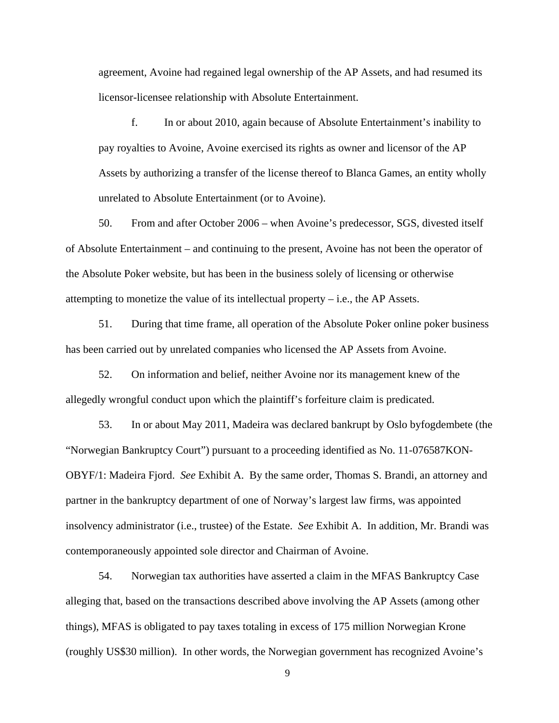agreement, Avoine had regained legal ownership of the AP Assets, and had resumed its licensor-licensee relationship with Absolute Entertainment.

 f. In or about 2010, again because of Absolute Entertainment's inability to pay royalties to Avoine, Avoine exercised its rights as owner and licensor of the AP Assets by authorizing a transfer of the license thereof to Blanca Games, an entity wholly unrelated to Absolute Entertainment (or to Avoine).

50. From and after October 2006 – when Avoine's predecessor, SGS, divested itself of Absolute Entertainment – and continuing to the present, Avoine has not been the operator of the Absolute Poker website, but has been in the business solely of licensing or otherwise attempting to monetize the value of its intellectual property – i.e., the AP Assets.

51. During that time frame, all operation of the Absolute Poker online poker business has been carried out by unrelated companies who licensed the AP Assets from Avoine.

52. On information and belief, neither Avoine nor its management knew of the allegedly wrongful conduct upon which the plaintiff's forfeiture claim is predicated.

53. In or about May 2011, Madeira was declared bankrupt by Oslo byfogdembete (the "Norwegian Bankruptcy Court") pursuant to a proceeding identified as No. 11-076587KON-OBYF/1: Madeira Fjord. *See* Exhibit A. By the same order, Thomas S. Brandi, an attorney and partner in the bankruptcy department of one of Norway's largest law firms, was appointed insolvency administrator (i.e., trustee) of the Estate. *See* Exhibit A. In addition, Mr. Brandi was contemporaneously appointed sole director and Chairman of Avoine.

54. Norwegian tax authorities have asserted a claim in the MFAS Bankruptcy Case alleging that, based on the transactions described above involving the AP Assets (among other things), MFAS is obligated to pay taxes totaling in excess of 175 million Norwegian Krone (roughly US\$30 million). In other words, the Norwegian government has recognized Avoine's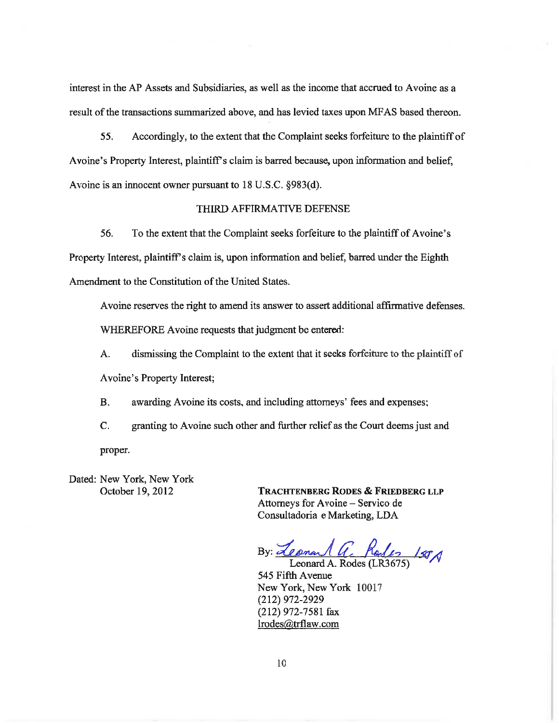interest in the AP Assets and Subsidiaries, as well as the income that accrued to Avoine as a result of the transactions summarized above, and has levied taxes upon MFAS based thereon.

55. Accordingly, to the extent that the Complaint seeks forfeiture to the plaintiff of Avoine's Property Interest, plaintiff's claim is barred because, upon information and belief, Avoine is an innocent owner pursuant to 18 U.S.C. §983(d).

#### THIRD AFFIRMATIVE DEFENSE

56. To the extent that the Complaint seeks forfeiture to the plaintiff of Avoine's Property Interest, plaintiff's claim is, upon information and belief, barred under the Eighth Amendment to the Constitution of the United States.

Avoine reserves the right to amend its answer to assert additional affirmative defenses.

WHEREFORE Avoine requests that judgment be entered:

dismissing the Complaint to the extent that it seeks for feiture to the plaintiff of A. Avoine's Property Interest;

awarding Avoine its costs, and including attorneys' fees and expenses; **B.** 

 $\mathbf{C}$ . granting to Avoine such other and further relief as the Court deems just and proper.

Dated: New York, New York October 19, 2012

**TRACHTENBERG RODES & FRIEDBERG LLP** Attorneys for Avoine - Servico de Consultadoria e Marketing, LDA

By: <u>Leonard a. Rodes</u> 150A

545 Fifth Avenue New York, New York 10017  $(212)$  972-2929 (212) 972-7581 fax lrodes@trflaw.com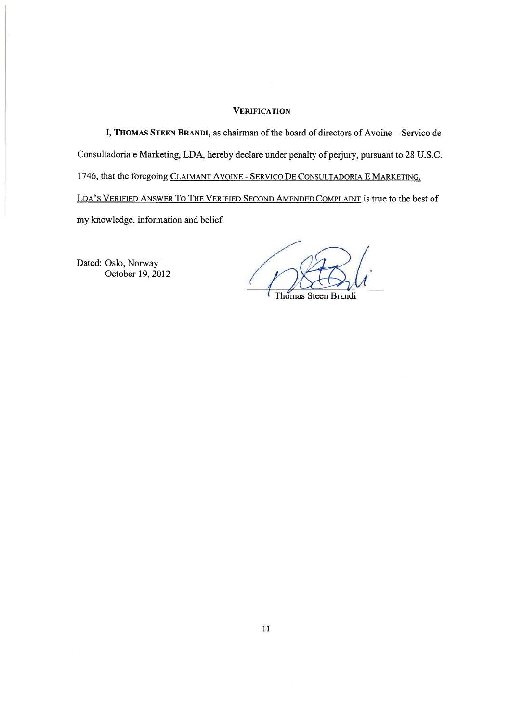#### **VERIFICATION**

I, THOMAS STEEN BRANDI, as chairman of the board of directors of Avoine - Servico de Consultadoria e Marketing, LDA, hereby declare under penalty of perjury, pursuant to 28 U.S.C. 1746, that the foregoing CLAIMANT AVOINE - SERVICO DE CONSULTADORIA E MARKETING, LDA'S VERIFIED ANSWER TO THE VERIFIED SECOND AMENDED COMPLAINT is true to the best of my knowledge, information and belief.

Dated: Oslo, Norway October 19, 2012

Thomas Steen Brandi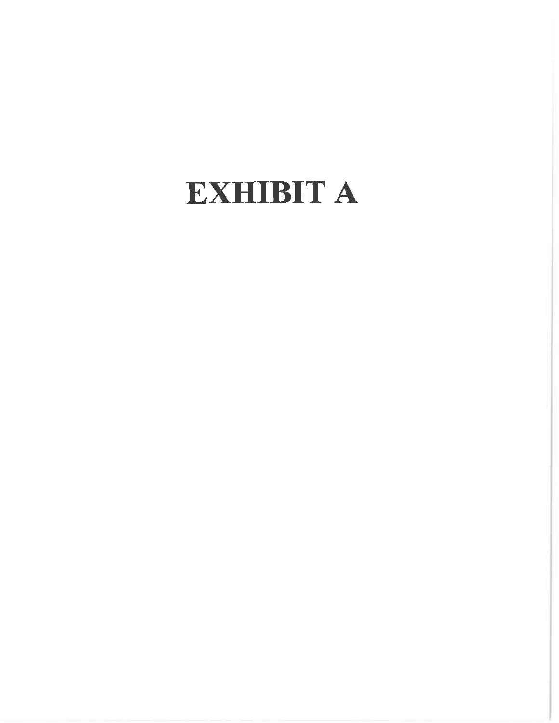# EXHIBIT A